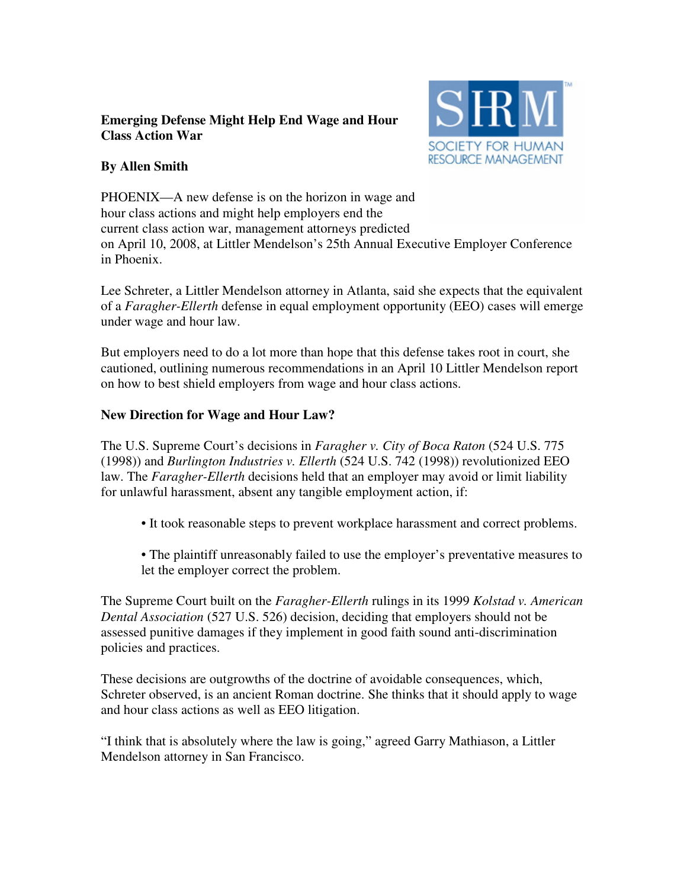## **Emerging Defense Might Help End Wage and Hour Class Action War**



# **By Allen Smith**

PHOENIX—A new defense is on the horizon in wage and hour class actions and might help employers end the current class action war, management attorneys predicted on April 10, 2008, at Littler Mendelson's 25th Annual Executive Employer Conference in Phoenix.

Lee Schreter, a Littler Mendelson attorney in Atlanta, said she expects that the equivalent of a *Faragher-Ellerth* defense in equal employment opportunity (EEO) cases will emerge under wage and hour law.

But employers need to do a lot more than hope that this defense takes root in court, she cautioned, outlining numerous recommendations in an April 10 Littler Mendelson report on how to best shield employers from wage and hour class actions.

## **New Direction for Wage and Hour Law?**

The U.S. Supreme Court's decisions in *Faragher v. City of Boca Raton* (524 U.S. 775 (1998)) and *Burlington Industries v. Ellerth* (524 U.S. 742 (1998)) revolutionized EEO law. The *Faragher-Ellerth* decisions held that an employer may avoid or limit liability for unlawful harassment, absent any tangible employment action, if:

• It took reasonable steps to prevent workplace harassment and correct problems.

• The plaintiff unreasonably failed to use the employer's preventative measures to let the employer correct the problem.

The Supreme Court built on the *Faragher-Ellerth* rulings in its 1999 *Kolstad v. American Dental Association* (527 U.S. 526) decision, deciding that employers should not be assessed punitive damages if they implement in good faith sound anti-discrimination policies and practices.

These decisions are outgrowths of the doctrine of avoidable consequences, which, Schreter observed, is an ancient Roman doctrine. She thinks that it should apply to wage and hour class actions as well as EEO litigation.

"I think that is absolutely where the law is going," agreed Garry Mathiason, a Littler Mendelson attorney in San Francisco.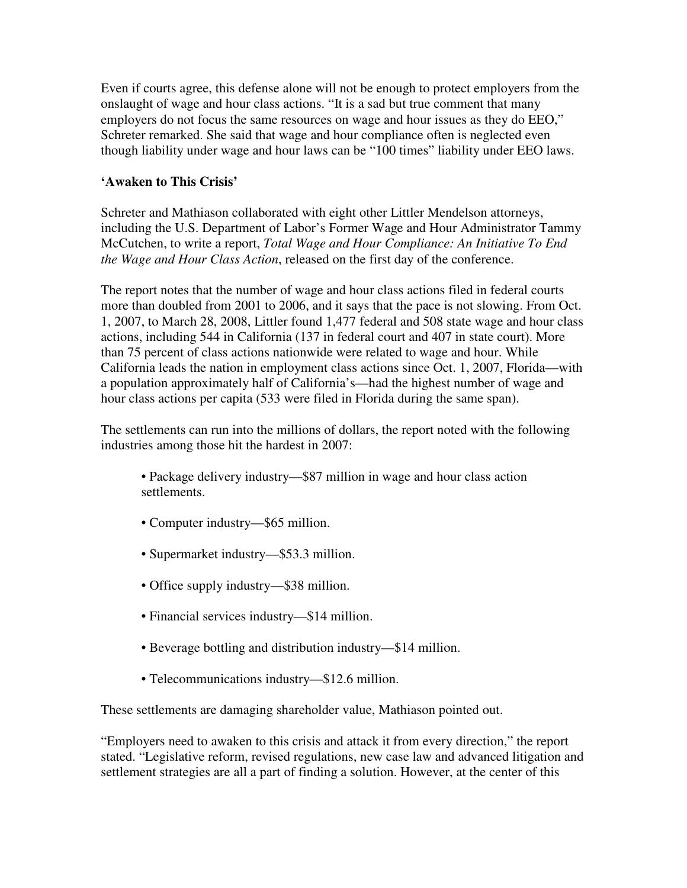Even if courts agree, this defense alone will not be enough to protect employers from the onslaught of wage and hour class actions. "It is a sad but true comment that many employers do not focus the same resources on wage and hour issues as they do EEO," Schreter remarked. She said that wage and hour compliance often is neglected even though liability under wage and hour laws can be "100 times" liability under EEO laws.

#### **'Awaken to This Crisis'**

Schreter and Mathiason collaborated with eight other Littler Mendelson attorneys, including the U.S. Department of Labor's Former Wage and Hour Administrator Tammy McCutchen, to write a report, *Total Wage and Hour Compliance: An Initiative To End the Wage and Hour Class Action*, released on the first day of the conference.

The report notes that the number of wage and hour class actions filed in federal courts more than doubled from 2001 to 2006, and it says that the pace is not slowing. From Oct. 1, 2007, to March 28, 2008, Littler found 1,477 federal and 508 state wage and hour class actions, including 544 in California (137 in federal court and 407 in state court). More than 75 percent of class actions nationwide were related to wage and hour. While California leads the nation in employment class actions since Oct. 1, 2007, Florida—with a population approximately half of California's—had the highest number of wage and hour class actions per capita (533 were filed in Florida during the same span).

The settlements can run into the millions of dollars, the report noted with the following industries among those hit the hardest in 2007:

- Package delivery industry—\$87 million in wage and hour class action settlements.
- Computer industry—\$65 million.
- Supermarket industry—\$53.3 million.
- Office supply industry—\$38 million.
- Financial services industry—\$14 million.
- Beverage bottling and distribution industry—\$14 million.
- Telecommunications industry—\$12.6 million.

These settlements are damaging shareholder value, Mathiason pointed out.

"Employers need to awaken to this crisis and attack it from every direction," the report stated. "Legislative reform, revised regulations, new case law and advanced litigation and settlement strategies are all a part of finding a solution. However, at the center of this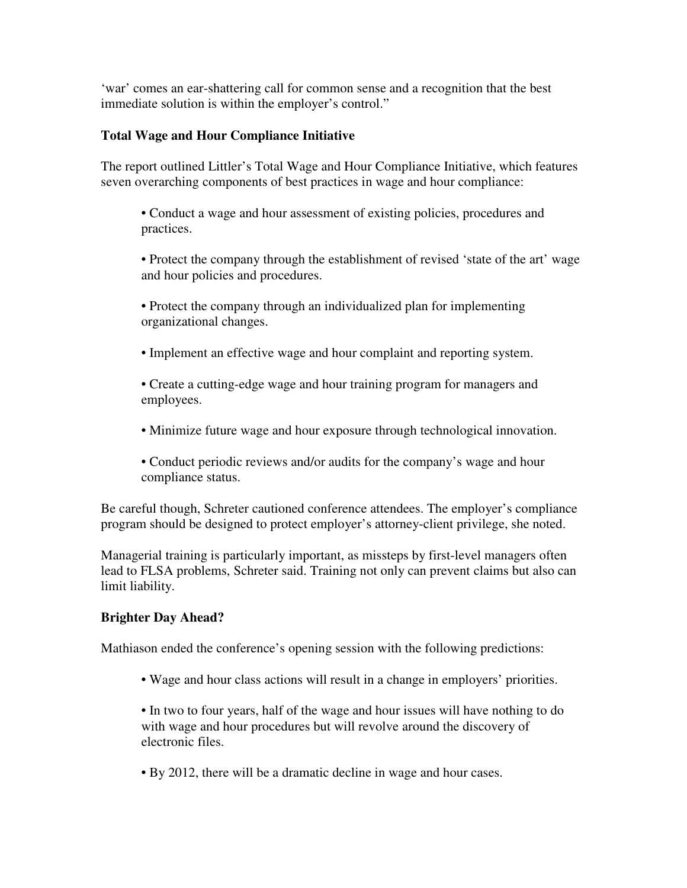'war' comes an ear-shattering call for common sense and a recognition that the best immediate solution is within the employer's control."

## **Total Wage and Hour Compliance Initiative**

The report outlined Littler's Total Wage and Hour Compliance Initiative, which features seven overarching components of best practices in wage and hour compliance:

- Conduct a wage and hour assessment of existing policies, procedures and practices.
- Protect the company through the establishment of revised 'state of the art' wage and hour policies and procedures.
- Protect the company through an individualized plan for implementing organizational changes.
- Implement an effective wage and hour complaint and reporting system.
- Create a cutting-edge wage and hour training program for managers and employees.
- Minimize future wage and hour exposure through technological innovation.
- Conduct periodic reviews and/or audits for the company's wage and hour compliance status.

Be careful though, Schreter cautioned conference attendees. The employer's compliance program should be designed to protect employer's attorney-client privilege, she noted.

Managerial training is particularly important, as missteps by first-level managers often lead to FLSA problems, Schreter said. Training not only can prevent claims but also can limit liability.

## **Brighter Day Ahead?**

Mathiason ended the conference's opening session with the following predictions:

• Wage and hour class actions will result in a change in employers' priorities.

• In two to four years, half of the wage and hour issues will have nothing to do with wage and hour procedures but will revolve around the discovery of electronic files.

• By 2012, there will be a dramatic decline in wage and hour cases.